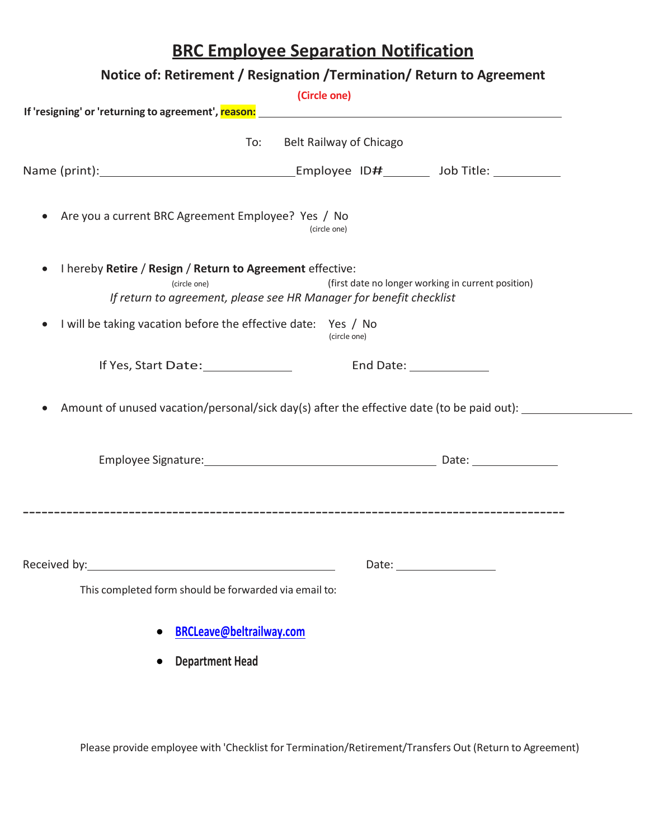## **BRC Employee Separation Notification**

|                                                                                        | Notice of: Retirement / Resignation / Termination / Return to Agreement                              |                                                    |
|----------------------------------------------------------------------------------------|------------------------------------------------------------------------------------------------------|----------------------------------------------------|
|                                                                                        | (Circle one)                                                                                         |                                                    |
|                                                                                        |                                                                                                      |                                                    |
|                                                                                        | To:<br>Belt Railway of Chicago                                                                       |                                                    |
|                                                                                        |                                                                                                      |                                                    |
| Are you a current BRC Agreement Employee? Yes / No                                     | (circle one)                                                                                         |                                                    |
| I hereby Retire / Resign / Return to Agreement effective:<br>$\bullet$<br>(circle one) | If return to agreement, please see HR Manager for benefit checklist                                  | (first date no longer working in current position) |
| I will be taking vacation before the effective date: Yes / No<br>$\bullet$             | (circle one)                                                                                         |                                                    |
| If Yes, Start Date: 1990                                                               |                                                                                                      | End Date: _____________                            |
|                                                                                        | Amount of unused vacation/personal/sick day(s) after the effective date (to be paid out): __________ |                                                    |
|                                                                                        |                                                                                                      |                                                    |
|                                                                                        |                                                                                                      |                                                    |
|                                                                                        |                                                                                                      |                                                    |
| This completed form should be forwarded via email to:                                  |                                                                                                      |                                                    |
|                                                                                        | <b>BRCLeave@beltrailway.com</b>                                                                      |                                                    |
| <b>Department Head</b>                                                                 |                                                                                                      |                                                    |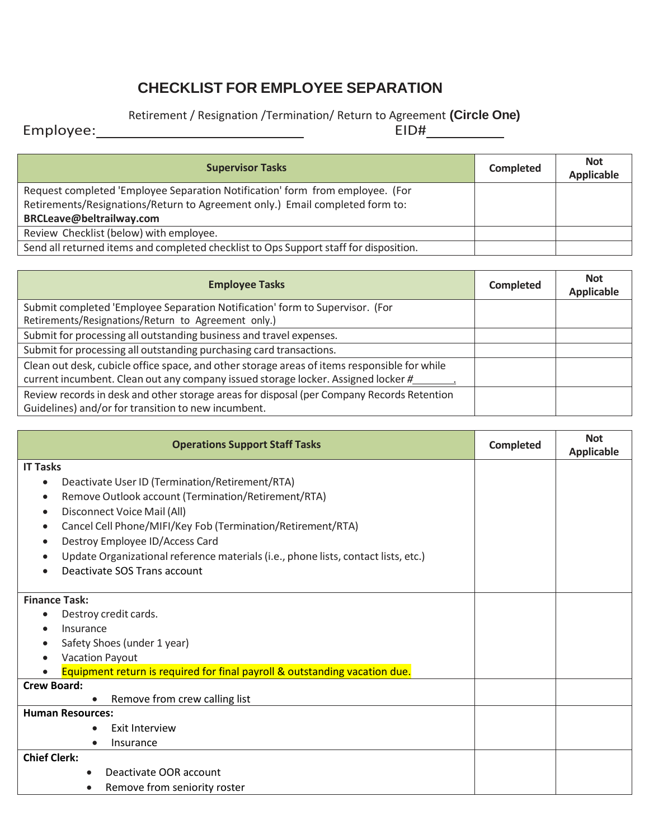## **CHECKLIST FOR EMPLOYEE SEPARATION**

## Retirement / Resignation /Termination/ Return to Agreement **(Circle One)**<br>EID#

Employee: EID#

| <b>Supervisor Tasks</b>                                                               | <b>Completed</b> | <b>Not</b><br>Applicable |
|---------------------------------------------------------------------------------------|------------------|--------------------------|
| Request completed 'Employee Separation Notification' form from employee. (For         |                  |                          |
| Retirements/Resignations/Return to Agreement only.) Email completed form to:          |                  |                          |
| BRCLeave@beltrailway.com                                                              |                  |                          |
| Review Checklist (below) with employee.                                               |                  |                          |
| Send all returned items and completed checklist to Ops Support staff for disposition. |                  |                          |

| <b>Employee Tasks</b>                                                                                                                                                             | Completed | <b>Not</b><br><b>Applicable</b> |
|-----------------------------------------------------------------------------------------------------------------------------------------------------------------------------------|-----------|---------------------------------|
| Submit completed 'Employee Separation Notification' form to Supervisor. (For<br>Retirements/Resignations/Return to Agreement only.)                                               |           |                                 |
| Submit for processing all outstanding business and travel expenses.                                                                                                               |           |                                 |
| Submit for processing all outstanding purchasing card transactions.                                                                                                               |           |                                 |
| Clean out desk, cubicle office space, and other storage areas of items responsible for while<br>current incumbent. Clean out any company issued storage locker. Assigned locker # |           |                                 |
| Review records in desk and other storage areas for disposal (per Company Records Retention<br>Guidelines) and/or for transition to new incumbent.                                 |           |                                 |

| <b>Operations Support Staff Tasks</b>                                                                                                                                                                                                                                                                                                                                                                                                             | <b>Completed</b> | <b>Not</b><br><b>Applicable</b> |
|---------------------------------------------------------------------------------------------------------------------------------------------------------------------------------------------------------------------------------------------------------------------------------------------------------------------------------------------------------------------------------------------------------------------------------------------------|------------------|---------------------------------|
| <b>IT Tasks</b><br>Deactivate User ID (Termination/Retirement/RTA)<br>$\bullet$<br>Remove Outlook account (Termination/Retirement/RTA)<br>$\bullet$<br>Disconnect Voice Mail (All)<br>$\bullet$<br>Cancel Cell Phone/MIFI/Key Fob (Termination/Retirement/RTA)<br>$\bullet$<br>Destroy Employee ID/Access Card<br>$\bullet$<br>Update Organizational reference materials (i.e., phone lists, contact lists, etc.)<br>Deactivate SOS Trans account |                  |                                 |
| <b>Finance Task:</b><br>Destroy credit cards.<br>Insurance<br>Safety Shoes (under 1 year)<br>Vacation Payout<br>Equipment return is required for final payroll & outstanding vacation due.                                                                                                                                                                                                                                                        |                  |                                 |
| <b>Crew Board:</b><br>Remove from crew calling list                                                                                                                                                                                                                                                                                                                                                                                               |                  |                                 |
| <b>Human Resources:</b><br>Exit Interview<br>Insurance<br><b>Chief Clerk:</b><br>Deactivate OOR account<br>$\bullet$<br>Remove from seniority roster                                                                                                                                                                                                                                                                                              |                  |                                 |